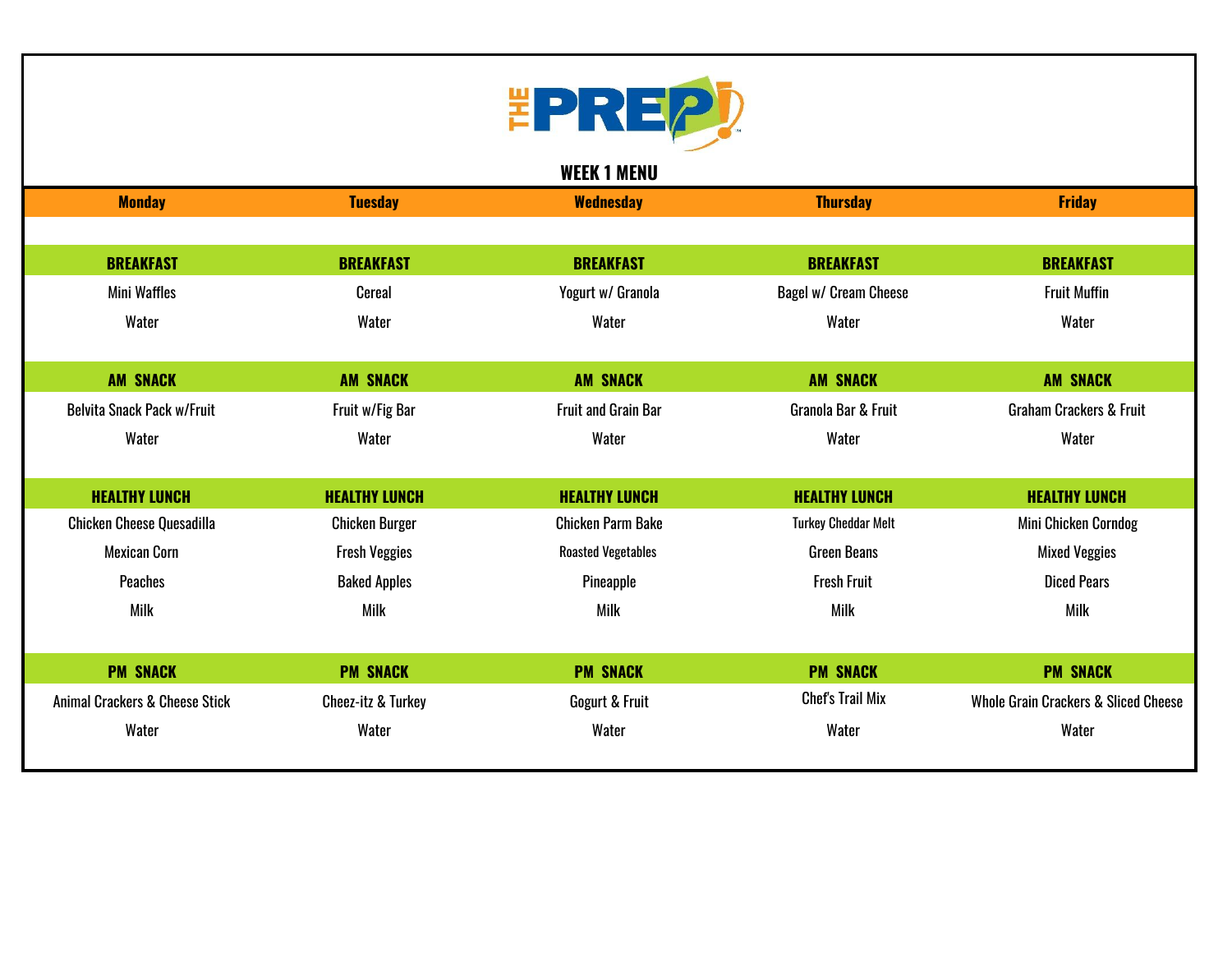

**WEEK 1 MENU**

| <b>Monday</b>                             | <b>Tuesday</b>                | <b>Wednesday</b>           | <b>Thursday</b>              | <b>Friday</b>                                   |
|-------------------------------------------|-------------------------------|----------------------------|------------------------------|-------------------------------------------------|
|                                           |                               |                            |                              |                                                 |
| <b>BREAKFAST</b>                          | <b>BREAKFAST</b>              | <b>BREAKFAST</b>           | <b>BREAKFAST</b>             | <b>BREAKFAST</b>                                |
| Mini Waffles                              | Cereal                        | Yogurt w/ Granola          | <b>Bagel w/ Cream Cheese</b> | <b>Fruit Muffin</b>                             |
| Water                                     | Water                         | Water                      | Water                        | Water                                           |
|                                           |                               |                            |                              |                                                 |
| <b>AM SNACK</b>                           | <b>AM SNACK</b>               | <b>AM SNACK</b>            | <b>AM SNACK</b>              | <b>AM SNACK</b>                                 |
| <b>Belvita Snack Pack w/Fruit</b>         | Fruit w/Fig Bar               | <b>Fruit and Grain Bar</b> | Granola Bar & Fruit          | <b>Graham Crackers &amp; Fruit</b>              |
| Water                                     | Water                         | Water                      | Water                        | Water                                           |
|                                           |                               |                            |                              |                                                 |
| <b>HEALTHY LUNCH</b>                      | <b>HEALTHY LUNCH</b>          | <b>HEALTHY LUNCH</b>       | <b>HEALTHY LUNCH</b>         | <b>HEALTHY LUNCH</b>                            |
| <b>Chicken Cheese Quesadilla</b>          | <b>Chicken Burger</b>         | <b>Chicken Parm Bake</b>   | <b>Turkey Cheddar Melt</b>   | Mini Chicken Corndog                            |
| <b>Mexican Corn</b>                       | <b>Fresh Veggies</b>          | <b>Roasted Vegetables</b>  | <b>Green Beans</b>           | <b>Mixed Veggies</b>                            |
| <b>Peaches</b>                            | <b>Baked Apples</b>           | Pineapple                  | <b>Fresh Fruit</b>           | <b>Diced Pears</b>                              |
| Milk                                      | Milk                          | <b>Milk</b>                | <b>Milk</b>                  | <b>Milk</b>                                     |
|                                           |                               |                            |                              |                                                 |
| <b>PM SNACK</b>                           | <b>PM SNACK</b>               | <b>PM SNACK</b>            | <b>PM SNACK</b>              | <b>PM SNACK</b>                                 |
| <b>Animal Crackers &amp; Cheese Stick</b> | <b>Cheez-itz &amp; Turkey</b> | Gogurt & Fruit             | <b>Chef's Trail Mix</b>      | <b>Whole Grain Crackers &amp; Sliced Cheese</b> |
| Water                                     | Water                         | Water                      | Water                        | Water                                           |
|                                           |                               |                            |                              |                                                 |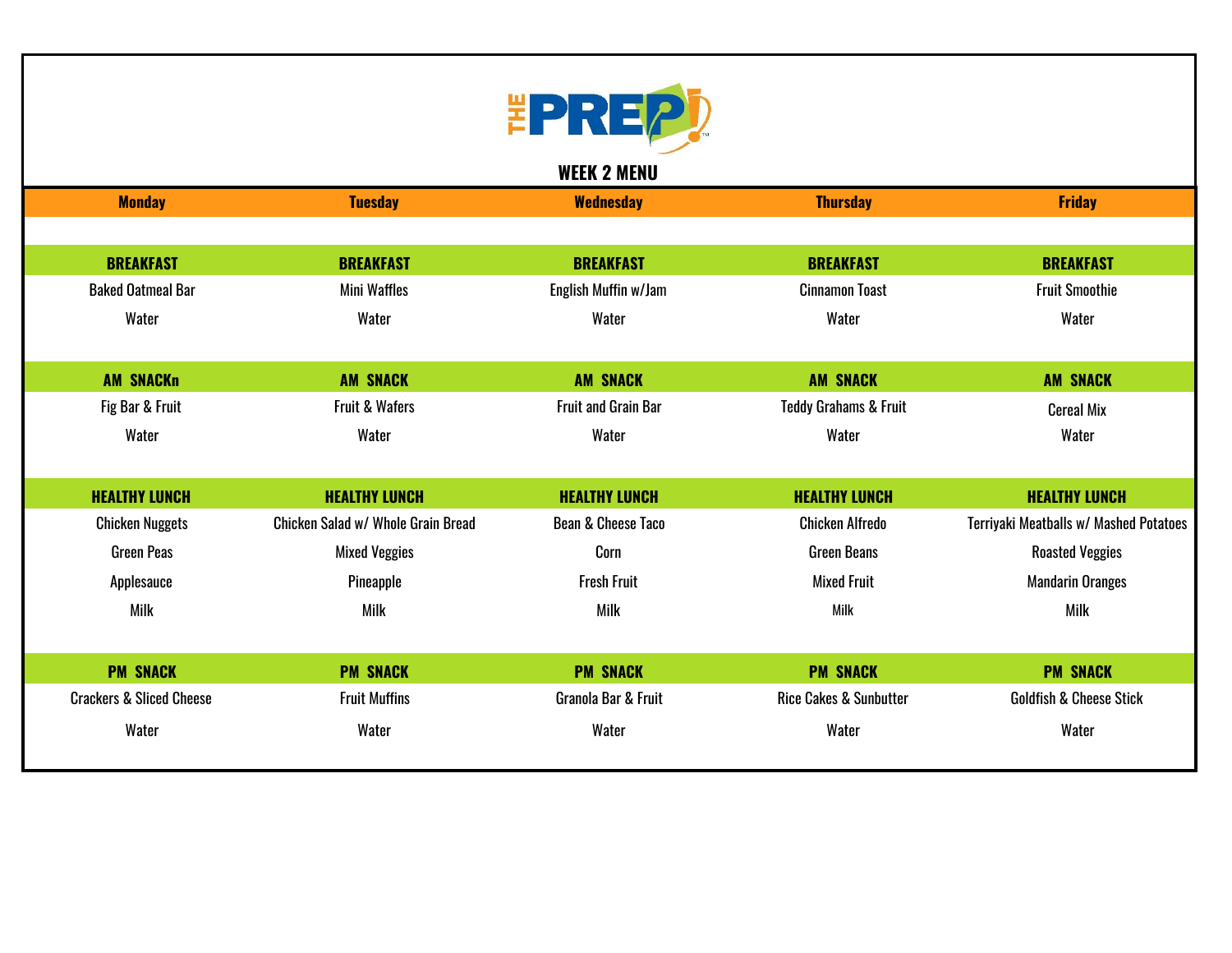

**WEEK 2 MENU**

| <b>Monday</b>                       | <b>Tuesday</b>                     | <b>Wednesday</b>              | <b>Thursday</b>                   | <b>Friday</b>                          |
|-------------------------------------|------------------------------------|-------------------------------|-----------------------------------|----------------------------------------|
|                                     |                                    |                               |                                   |                                        |
| <b>BREAKFAST</b>                    | <b>BREAKFAST</b>                   | <b>BREAKFAST</b>              | <b>BREAKFAST</b>                  | <b>BREAKFAST</b>                       |
| <b>Baked Oatmeal Bar</b>            | <b>Mini Waffles</b>                | English Muffin w/Jam          | <b>Cinnamon Toast</b>             | <b>Fruit Smoothie</b>                  |
| Water                               | Water                              | Water                         | Water                             | Water                                  |
|                                     |                                    |                               |                                   |                                        |
| <b>AM SNACKn</b>                    | <b>AM SNACK</b>                    | <b>AM SNACK</b>               | <b>AM SNACK</b>                   | <b>AM SNACK</b>                        |
| Fig Bar & Fruit                     | Fruit & Wafers                     | <b>Fruit and Grain Bar</b>    | <b>Teddy Grahams &amp; Fruit</b>  | <b>Cereal Mix</b>                      |
| Water                               | Water                              | Water                         | Water                             | Water                                  |
|                                     |                                    |                               |                                   |                                        |
| <b>HEALTHY LUNCH</b>                | <b>HEALTHY LUNCH</b>               | <b>HEALTHY LUNCH</b>          | <b>HEALTHY LUNCH</b>              | <b>HEALTHY LUNCH</b>                   |
| <b>Chicken Nuggets</b>              | Chicken Salad w/ Whole Grain Bread | <b>Bean &amp; Cheese Taco</b> | <b>Chicken Alfredo</b>            | Terriyaki Meatballs w/ Mashed Potatoes |
| <b>Green Peas</b>                   | <b>Mixed Veggies</b>               | Corn                          | <b>Green Beans</b>                | <b>Roasted Veggies</b>                 |
| Applesauce                          | Pineapple                          | <b>Fresh Fruit</b>            | <b>Mixed Fruit</b>                | <b>Mandarin Oranges</b>                |
| Milk                                | Milk                               | <b>Milk</b>                   | Milk                              | Milk                                   |
|                                     |                                    |                               |                                   |                                        |
| <b>PM SNACK</b>                     | <b>PM SNACK</b>                    | <b>PM SNACK</b>               | <b>PM SNACK</b>                   | <b>PM SNACK</b>                        |
| <b>Crackers &amp; Sliced Cheese</b> | <b>Fruit Muffins</b>               | Granola Bar & Fruit           | <b>Rice Cakes &amp; Sunbutter</b> | <b>Goldfish &amp; Cheese Stick</b>     |
| Water                               | Water                              | Water                         | Water                             | Water                                  |
|                                     |                                    |                               |                                   |                                        |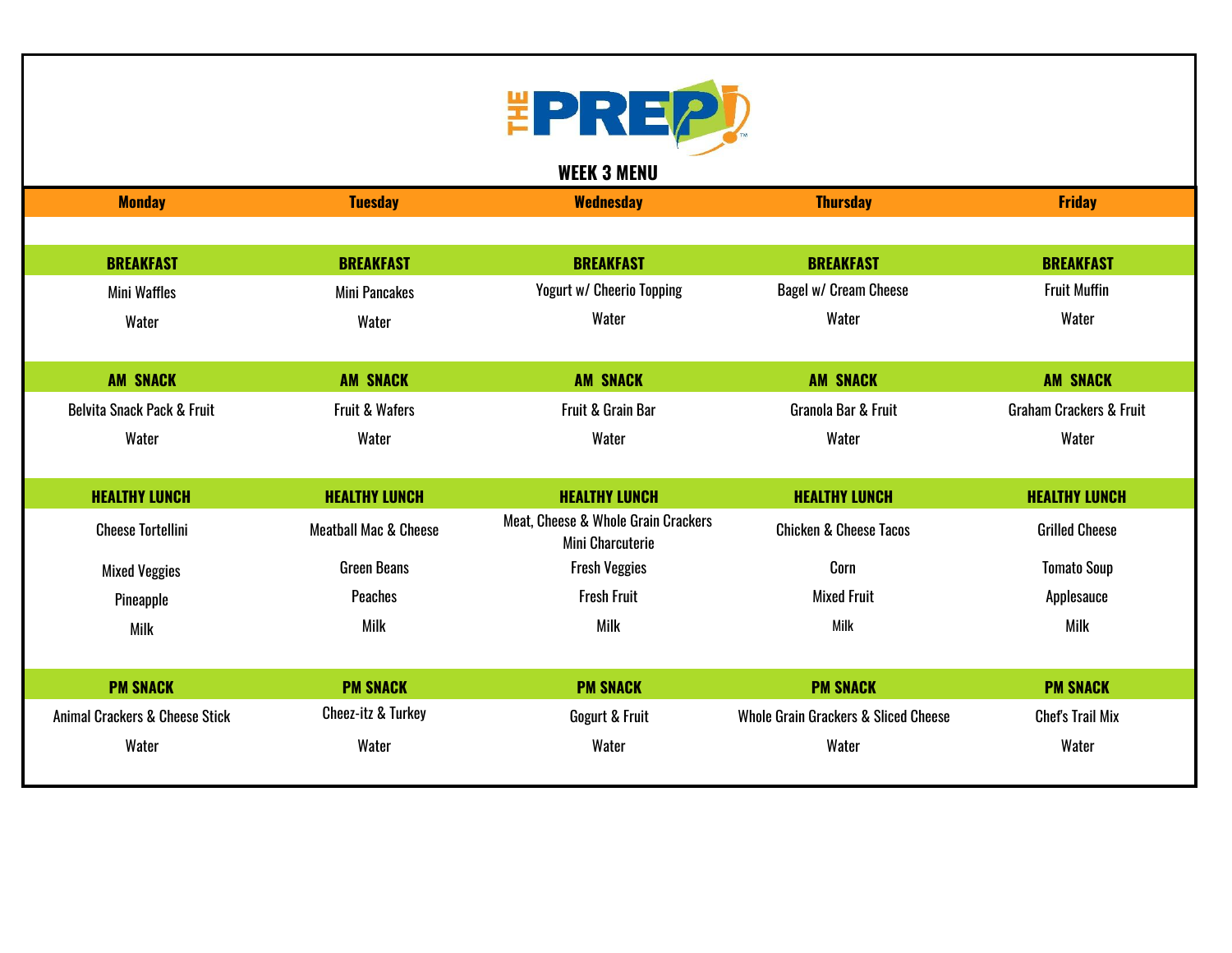

| <b>Monday</b>                             | <b>Tuesday</b>                   | <b>Wednesday</b>                                               | <b>Thursday</b>                                 | <b>Friday</b>                      |
|-------------------------------------------|----------------------------------|----------------------------------------------------------------|-------------------------------------------------|------------------------------------|
|                                           |                                  |                                                                |                                                 |                                    |
| <b>BREAKFAST</b>                          | <b>BREAKFAST</b>                 | <b>BREAKFAST</b>                                               | <b>BREAKFAST</b>                                | <b>BREAKFAST</b>                   |
| <b>Mini Waffles</b>                       | <b>Mini Pancakes</b>             | <b>Yogurt w/ Cheerio Topping</b>                               | Bagel w/ Cream Cheese                           | <b>Fruit Muffin</b>                |
| Water                                     | Water                            | Water                                                          | Water                                           | Water                              |
|                                           |                                  |                                                                |                                                 |                                    |
| <b>AM SNACK</b>                           | <b>AM SNACK</b>                  | <b>AM SNACK</b>                                                | <b>AM SNACK</b>                                 | <b>AM SNACK</b>                    |
| <b>Belvita Snack Pack &amp; Fruit</b>     | <b>Fruit &amp; Wafers</b>        | Fruit & Grain Bar                                              | Granola Bar & Fruit                             | <b>Graham Crackers &amp; Fruit</b> |
| Water                                     | Water                            | Water                                                          | Water                                           | Water                              |
|                                           |                                  |                                                                |                                                 |                                    |
| <b>HEALTHY LUNCH</b>                      | <b>HEALTHY LUNCH</b>             | <b>HEALTHY LUNCH</b>                                           | <b>HEALTHY LUNCH</b>                            | <b>HEALTHY LUNCH</b>               |
| <b>Cheese Tortellini</b>                  | <b>Meatball Mac &amp; Cheese</b> | Meat, Cheese & Whole Grain Crackers<br><b>Mini Charcuterie</b> | <b>Chicken &amp; Cheese Tacos</b>               | <b>Grilled Cheese</b>              |
| <b>Mixed Veggies</b>                      | <b>Green Beans</b>               | <b>Fresh Veggies</b>                                           | Corn                                            | <b>Tomato Soup</b>                 |
| Pineapple                                 | <b>Peaches</b>                   | <b>Fresh Fruit</b>                                             | <b>Mixed Fruit</b>                              | Applesauce                         |
| <b>Milk</b>                               | <b>Milk</b>                      | Milk                                                           | Milk                                            | <b>Milk</b>                        |
|                                           |                                  |                                                                |                                                 |                                    |
| <b>PM SNACK</b>                           | <b>PM SNACK</b>                  | <b>PM SNACK</b>                                                | <b>PM SNACK</b>                                 | <b>PM SNACK</b>                    |
| <b>Animal Crackers &amp; Cheese Stick</b> | <b>Cheez-itz &amp; Turkey</b>    | Gogurt & Fruit                                                 | <b>Whole Grain Grackers &amp; Sliced Cheese</b> | <b>Chef's Trail Mix</b>            |
| Water                                     | Water                            | Water                                                          | Water                                           | Water                              |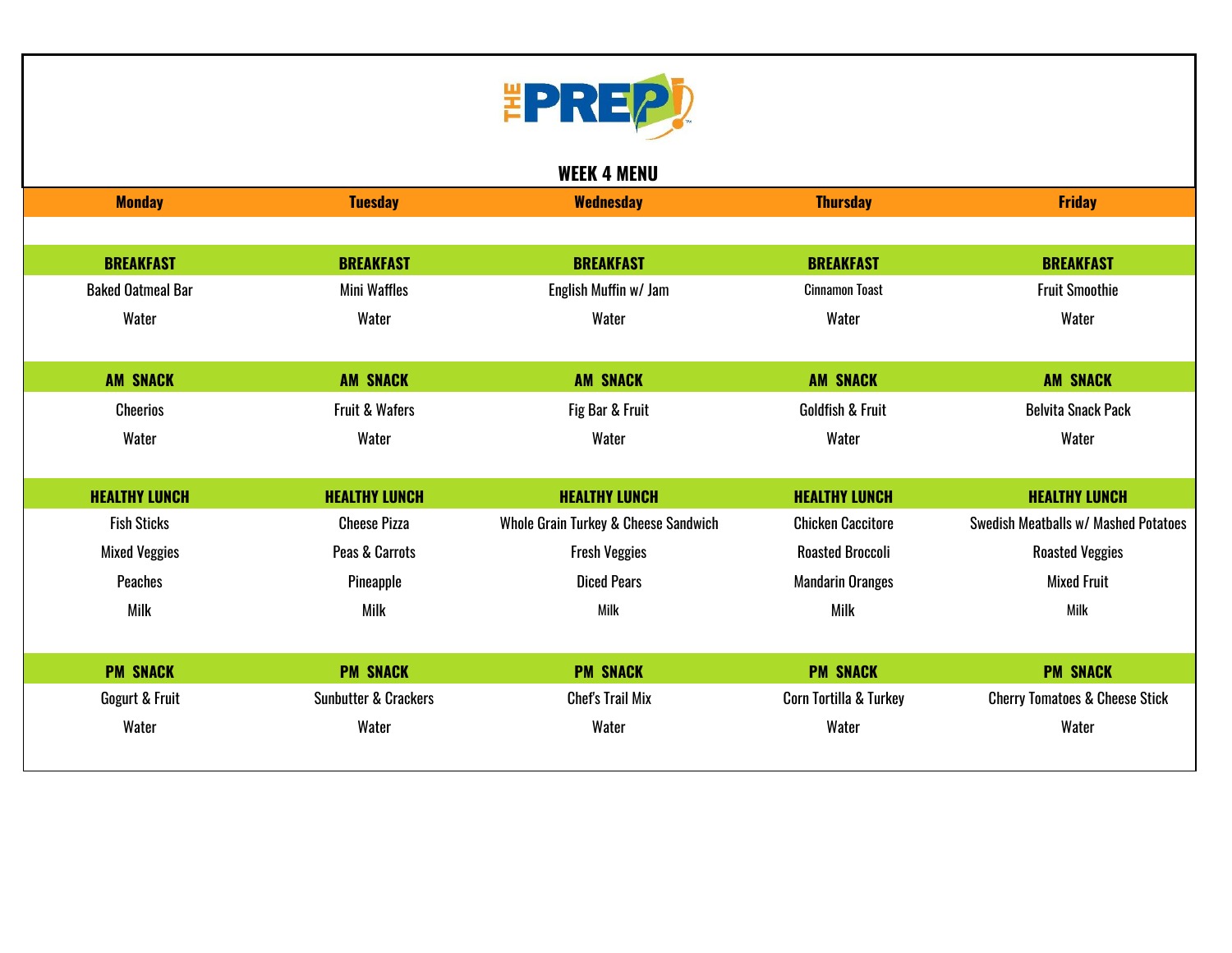

|                          |                                 | <b>WEEK 4 MENU</b>                   |                             |                                           |
|--------------------------|---------------------------------|--------------------------------------|-----------------------------|-------------------------------------------|
| <b>Monday</b>            | <b>Tuesday</b>                  | <b>Wednesday</b>                     | <b>Thursday</b>             | <b>Friday</b>                             |
|                          |                                 |                                      |                             |                                           |
| <b>BREAKFAST</b>         | <b>BREAKFAST</b>                | <b>BREAKFAST</b>                     | <b>BREAKFAST</b>            | <b>BREAKFAST</b>                          |
| <b>Baked Oatmeal Bar</b> | <b>Mini Waffles</b>             | English Muffin w/ Jam                | <b>Cinnamon Toast</b>       | <b>Fruit Smoothie</b>                     |
| Water                    | Water                           | Water                                | Water                       | Water                                     |
|                          |                                 |                                      |                             |                                           |
| <b>AM SNACK</b>          | <b>AM SNACK</b>                 | <b>AM SNACK</b>                      | <b>AM SNACK</b>             | <b>AM SNACK</b>                           |
| <b>Cheerios</b>          | <b>Fruit &amp; Wafers</b>       | Fig Bar & Fruit                      | <b>Goldfish &amp; Fruit</b> | <b>Belvita Snack Pack</b>                 |
| Water                    | Water                           | Water                                | Water                       | Water                                     |
|                          |                                 |                                      |                             |                                           |
| <b>HEALTHY LUNCH</b>     | <b>HEALTHY LUNCH</b>            | <b>HEALTHY LUNCH</b>                 | <b>HEALTHY LUNCH</b>        | <b>HEALTHY LUNCH</b>                      |
| <b>Fish Sticks</b>       | <b>Cheese Pizza</b>             | Whole Grain Turkey & Cheese Sandwich | <b>Chicken Caccitore</b>    | Swedish Meatballs w/ Mashed Potatoes      |
| <b>Mixed Veggies</b>     | Peas & Carrots                  | <b>Fresh Veggies</b>                 | <b>Roasted Broccoli</b>     | <b>Roasted Veggies</b>                    |
| <b>Peaches</b>           | Pineapple                       | <b>Diced Pears</b>                   | <b>Mandarin Oranges</b>     | <b>Mixed Fruit</b>                        |
| <b>Milk</b>              | <b>Milk</b>                     | Milk                                 | Milk                        | Milk                                      |
|                          |                                 |                                      |                             |                                           |
| <b>PM SNACK</b>          | <b>PM SNACK</b>                 | <b>PM SNACK</b>                      | <b>PM SNACK</b>             | <b>PM SNACK</b>                           |
| Gogurt & Fruit           | <b>Sunbutter &amp; Crackers</b> | <b>Chef's Trail Mix</b>              | Corn Tortilla & Turkey      | <b>Cherry Tomatoes &amp; Cheese Stick</b> |
| Water                    | Water                           | Water                                | Water                       | Water                                     |
|                          |                                 |                                      |                             |                                           |